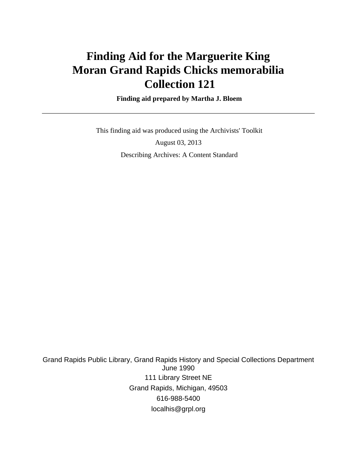# **Finding Aid for the Marguerite King Moran Grand Rapids Chicks memorabilia Collection 121**

 **Finding aid prepared by Martha J. Bloem**

 This finding aid was produced using the Archivists' Toolkit August 03, 2013 Describing Archives: A Content Standard

Grand Rapids Public Library, Grand Rapids History and Special Collections Department June 1990 111 Library Street NE Grand Rapids, Michigan, 49503 616-988-5400 localhis@grpl.org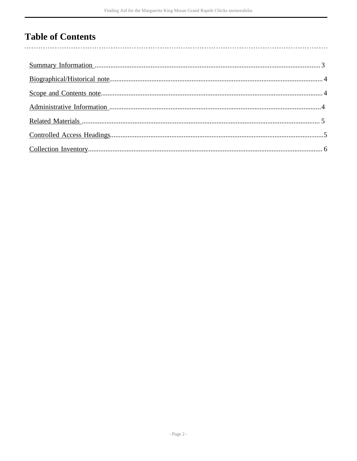# **Table of Contents**

 $\overline{\phantom{a}}$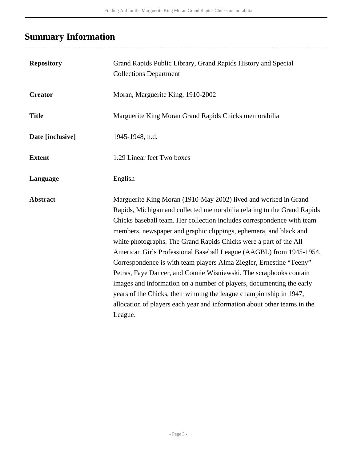# <span id="page-2-0"></span>**Summary Information**

| <b>Repository</b> | Grand Rapids Public Library, Grand Rapids History and Special<br><b>Collections Department</b>                                                                                                                                                                                                                                                                                                                                                                                                                                                                                                                                                                                                                                                                                                                           |
|-------------------|--------------------------------------------------------------------------------------------------------------------------------------------------------------------------------------------------------------------------------------------------------------------------------------------------------------------------------------------------------------------------------------------------------------------------------------------------------------------------------------------------------------------------------------------------------------------------------------------------------------------------------------------------------------------------------------------------------------------------------------------------------------------------------------------------------------------------|
| <b>Creator</b>    | Moran, Marguerite King, 1910-2002                                                                                                                                                                                                                                                                                                                                                                                                                                                                                                                                                                                                                                                                                                                                                                                        |
| <b>Title</b>      | Marguerite King Moran Grand Rapids Chicks memorabilia                                                                                                                                                                                                                                                                                                                                                                                                                                                                                                                                                                                                                                                                                                                                                                    |
| Date [inclusive]  | 1945-1948, n.d.                                                                                                                                                                                                                                                                                                                                                                                                                                                                                                                                                                                                                                                                                                                                                                                                          |
| <b>Extent</b>     | 1.29 Linear feet Two boxes                                                                                                                                                                                                                                                                                                                                                                                                                                                                                                                                                                                                                                                                                                                                                                                               |
| Language          | English                                                                                                                                                                                                                                                                                                                                                                                                                                                                                                                                                                                                                                                                                                                                                                                                                  |
| <b>Abstract</b>   | Marguerite King Moran (1910-May 2002) lived and worked in Grand<br>Rapids, Michigan and collected memorabilia relating to the Grand Rapids<br>Chicks baseball team. Her collection includes correspondence with team<br>members, newspaper and graphic clippings, ephemera, and black and<br>white photographs. The Grand Rapids Chicks were a part of the All<br>American Girls Professional Baseball League (AAGBL) from 1945-1954.<br>Correspondence is with team players Alma Ziegler, Ernestine "Teeny"<br>Petras, Faye Dancer, and Connie Wisniewski. The scrapbooks contain<br>images and information on a number of players, documenting the early<br>years of the Chicks, their winning the league championship in 1947,<br>allocation of players each year and information about other teams in the<br>League. |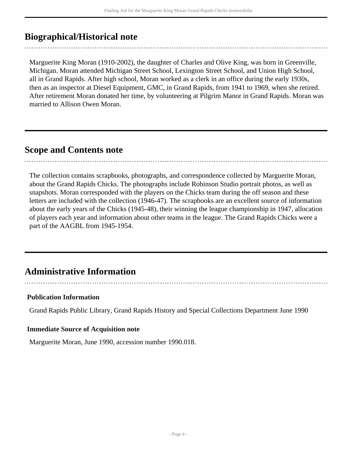## <span id="page-3-0"></span>**Biographical/Historical note**

Marguerite King Moran (1910-2002), the daughter of Charles and Olive King, was born in Greenville, Michigan. Moran attended Michigan Street School, Lexington Street School, and Union High School, all in Grand Rapids. After high school, Moran worked as a clerk in an office during the early 1930s, then as an inspector at Diesel Equipment, GMC, in Grand Rapids, from 1941 to 1969, when she retired. After retirement Moran donated her time, by volunteering at Pilgrim Manor in Grand Rapids. Moran was married to Allison Owen Moran.

## <span id="page-3-1"></span>**Scope and Contents note**

The collection contains scrapbooks, photographs, and correspondence collected by Marguerite Moran, about the Grand Rapids Chicks. The photographs include Robinson Studio portrait photos, as well as snapshots. Moran corresponded with the players on the Chicks team during the off season and these letters are included with the collection (1946-47). The scrapbooks are an excellent source of information about the early years of the Chicks (1945-48), their winning the league championship in 1947, allocation of players each year and information about other teams in the league. The Grand Rapids Chicks were a part of the AAGBL from 1945-1954.

## <span id="page-3-2"></span>**Administrative Information**

#### **Publication Information**

Grand Rapids Public Library, Grand Rapids History and Special Collections Department June 1990

#### **Immediate Source of Acquisition note**

Marguerite Moran, June 1990, accession number 1990.018.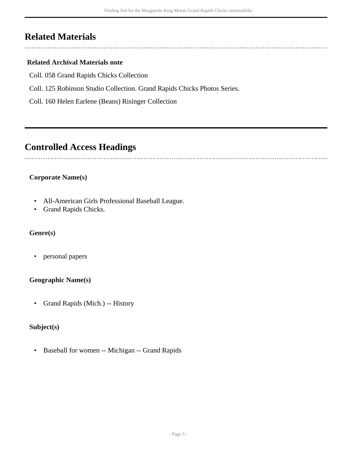# <span id="page-4-0"></span>**Related Materials**

### **Related Archival Materials note**

Coll. 058 Grand Rapids Chicks Collection

Coll. 125 Robinson Studio Collection. Grand Rapids Chicks Photos Series.

Coll. 160 Helen Earlene (Beans) Risinger Collection

## <span id="page-4-1"></span>**Controlled Access Headings**

### **Corporate Name(s)**

- All-American Girls Professional Baseball League.
- Grand Rapids Chicks.

#### **Genre(s)**

• personal papers

#### **Geographic Name(s)**

• Grand Rapids (Mich.) -- History

### **Subject(s)**

• Baseball for women -- Michigan -- Grand Rapids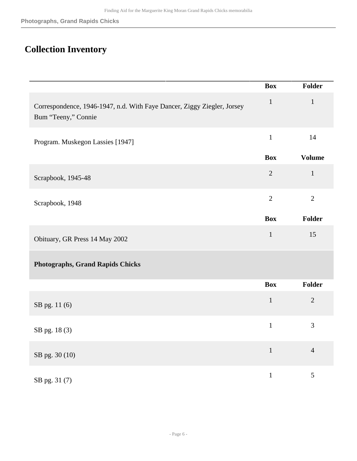# <span id="page-5-0"></span>**Collection Inventory**

|                                                                                                | <b>Box</b>     | Folder         |
|------------------------------------------------------------------------------------------------|----------------|----------------|
| Correspondence, 1946-1947, n.d. With Faye Dancer, Ziggy Ziegler, Jorsey<br>Bum "Teeny," Connie | $\mathbf{1}$   | $\mathbf{1}$   |
| Program. Muskegon Lassies [1947]                                                               | $\mathbf{1}$   | 14             |
|                                                                                                | <b>Box</b>     | <b>Volume</b>  |
| Scrapbook, 1945-48                                                                             | $\overline{2}$ | $\mathbf{1}$   |
| Scrapbook, 1948                                                                                | $\overline{2}$ | $\overline{2}$ |
|                                                                                                | <b>Box</b>     | Folder         |
| Obituary, GR Press 14 May 2002                                                                 | $\mathbf{1}$   | 15             |
| <b>Photographs, Grand Rapids Chicks</b>                                                        |                |                |
|                                                                                                | <b>Box</b>     | Folder         |
| SB pg. 11 (6)                                                                                  | $\mathbf 1$    | $\sqrt{2}$     |
| SB pg. 18(3)                                                                                   | $\mathbf{1}$   | 3              |
| SB pg. 30 (10)                                                                                 | $1\,$          | $\overline{4}$ |
| SB pg. 31 (7)                                                                                  | $\mathbf 1$    | $\mathfrak{S}$ |